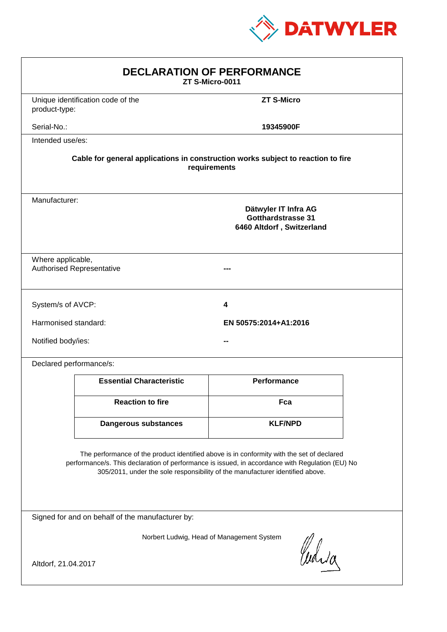

| <b>DECLARATION OF PERFORMANCE</b><br>ZT S-Micro-0011                                                                                                                                                                                                                          |                                                                                                 |                       |  |  |  |
|-------------------------------------------------------------------------------------------------------------------------------------------------------------------------------------------------------------------------------------------------------------------------------|-------------------------------------------------------------------------------------------------|-----------------------|--|--|--|
| product-type:                                                                                                                                                                                                                                                                 | Unique identification code of the                                                               | <b>ZT S-Micro</b>     |  |  |  |
| Serial-No.:                                                                                                                                                                                                                                                                   |                                                                                                 | 19345900F             |  |  |  |
| Intended use/es:                                                                                                                                                                                                                                                              |                                                                                                 |                       |  |  |  |
| Cable for general applications in construction works subject to reaction to fire<br>requirements                                                                                                                                                                              |                                                                                                 |                       |  |  |  |
|                                                                                                                                                                                                                                                                               | Manufacturer:<br>Dätwyler IT Infra AG<br><b>Gotthardstrasse 31</b><br>6460 Altdorf, Switzerland |                       |  |  |  |
|                                                                                                                                                                                                                                                                               | Where applicable,<br><b>Authorised Representative</b>                                           |                       |  |  |  |
| System/s of AVCP:                                                                                                                                                                                                                                                             |                                                                                                 | 4                     |  |  |  |
| Harmonised standard:                                                                                                                                                                                                                                                          |                                                                                                 | EN 50575:2014+A1:2016 |  |  |  |
| Notified body/ies:                                                                                                                                                                                                                                                            |                                                                                                 |                       |  |  |  |
| Declared performance/s:                                                                                                                                                                                                                                                       |                                                                                                 |                       |  |  |  |
|                                                                                                                                                                                                                                                                               | <b>Essential Characteristic</b>                                                                 | <b>Performance</b>    |  |  |  |
|                                                                                                                                                                                                                                                                               | <b>Reaction to fire</b>                                                                         | Fca                   |  |  |  |
|                                                                                                                                                                                                                                                                               | <b>Dangerous substances</b>                                                                     | <b>KLF/NPD</b>        |  |  |  |
| The performance of the product identified above is in conformity with the set of declared<br>performance/s. This declaration of performance is issued, in accordance with Regulation (EU) No<br>305/2011, under the sole responsibility of the manufacturer identified above. |                                                                                                 |                       |  |  |  |
| Signed for and on behalf of the manufacturer by:                                                                                                                                                                                                                              |                                                                                                 |                       |  |  |  |
| Norbert Ludwig, Head of Management System<br>Curia<br>Altdorf, 21.04.2017                                                                                                                                                                                                     |                                                                                                 |                       |  |  |  |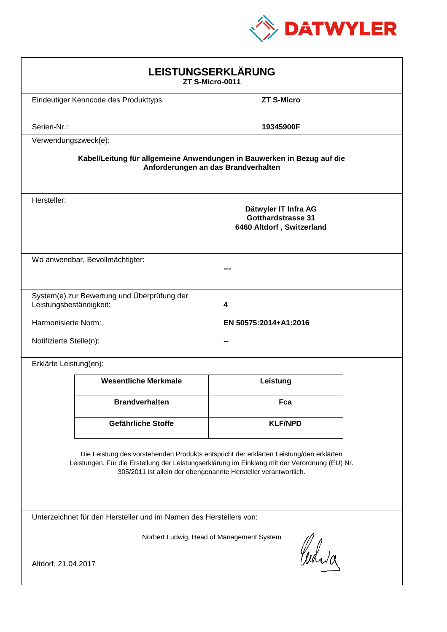

| LEISTUNGSERKLÄRUNG<br>ZT S-Micro-0011                                                                                                                                                                                                                      |                                              |                                                                                |  |  |
|------------------------------------------------------------------------------------------------------------------------------------------------------------------------------------------------------------------------------------------------------------|----------------------------------------------|--------------------------------------------------------------------------------|--|--|
|                                                                                                                                                                                                                                                            | Eindeutiger Kenncode des Produkttyps:        | <b>ZT S-Micro</b>                                                              |  |  |
| Serien-Nr.:                                                                                                                                                                                                                                                |                                              | 19345900F                                                                      |  |  |
| Verwendungszweck(e):                                                                                                                                                                                                                                       |                                              |                                                                                |  |  |
| Kabel/Leitung für allgemeine Anwendungen in Bauwerken in Bezug auf die<br>Anforderungen an das Brandverhalten                                                                                                                                              |                                              |                                                                                |  |  |
| Hersteller:                                                                                                                                                                                                                                                |                                              | Dätwyler IT Infra AG<br><b>Gotthardstrasse 31</b><br>6460 Altdorf, Switzerland |  |  |
|                                                                                                                                                                                                                                                            | Wo anwendbar, Bevollmächtigter:              |                                                                                |  |  |
| Leistungsbeständigkeit:                                                                                                                                                                                                                                    | System(e) zur Bewertung und Überprüfung der  | 4                                                                              |  |  |
|                                                                                                                                                                                                                                                            | Harmonisierte Norm:<br>EN 50575:2014+A1:2016 |                                                                                |  |  |
|                                                                                                                                                                                                                                                            | Notifizierte Stelle(n):                      |                                                                                |  |  |
| Erklärte Leistung(en):                                                                                                                                                                                                                                     |                                              |                                                                                |  |  |
|                                                                                                                                                                                                                                                            | <b>Wesentliche Merkmale</b>                  | Leistung                                                                       |  |  |
|                                                                                                                                                                                                                                                            | <b>Brandverhalten</b>                        | Fca                                                                            |  |  |
|                                                                                                                                                                                                                                                            | Gefährliche Stoffe                           | <b>KLF/NPD</b>                                                                 |  |  |
| Die Leistung des vorstehenden Produkts entspricht der erklärten Leistung/den erklärten<br>Leistungen. Für die Erstellung der Leistungserklärung im Einklang mit der Verordnung (EU) Nr.<br>305/2011 ist allein der obengenannte Hersteller verantwortlich. |                                              |                                                                                |  |  |
| Unterzeichnet für den Hersteller und im Namen des Herstellers von:                                                                                                                                                                                         |                                              |                                                                                |  |  |
| Norbert Ludwig, Head of Management System                                                                                                                                                                                                                  |                                              |                                                                                |  |  |
| Cudia<br>Altdorf, 21.04.2017                                                                                                                                                                                                                               |                                              |                                                                                |  |  |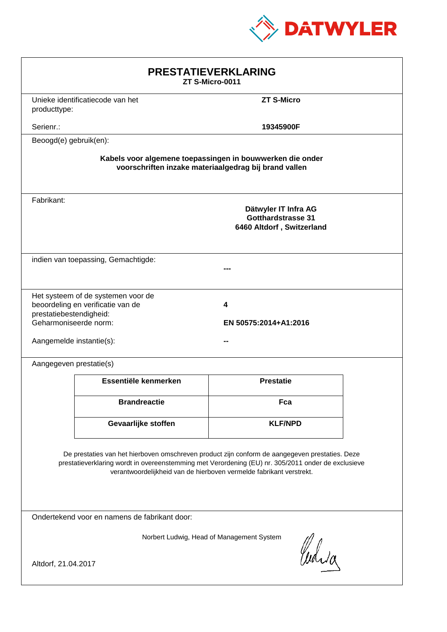

| <b>PRESTATIEVERKLARING</b><br>ZT S-Micro-0011                                                                                                                                                                                                                               |                                     |                                                                         |  |  |
|-----------------------------------------------------------------------------------------------------------------------------------------------------------------------------------------------------------------------------------------------------------------------------|-------------------------------------|-------------------------------------------------------------------------|--|--|
| producttype:                                                                                                                                                                                                                                                                | Unieke identificatiecode van het    | <b>ZT S-Micro</b>                                                       |  |  |
| Serienr.:                                                                                                                                                                                                                                                                   |                                     | 19345900F                                                               |  |  |
| Beoogd(e) gebruik(en):                                                                                                                                                                                                                                                      |                                     |                                                                         |  |  |
| Kabels voor algemene toepassingen in bouwwerken die onder<br>voorschriften inzake materiaalgedrag bij brand vallen                                                                                                                                                          |                                     |                                                                         |  |  |
| Fabrikant:                                                                                                                                                                                                                                                                  |                                     | Dätwyler IT Infra AG<br>Gotthardstrasse 31<br>6460 Altdorf, Switzerland |  |  |
|                                                                                                                                                                                                                                                                             | indien van toepassing, Gemachtigde: |                                                                         |  |  |
| Het systeem of de systemen voor de<br>beoordeling en verificatie van de<br>4<br>prestatiebestendigheid:<br>Geharmoniseerde norm:<br>EN 50575:2014+A1:2016<br>Aangemelde instantie(s):                                                                                       |                                     |                                                                         |  |  |
| Aangegeven prestatie(s)                                                                                                                                                                                                                                                     |                                     |                                                                         |  |  |
|                                                                                                                                                                                                                                                                             | Essentiële kenmerken                | <b>Prestatie</b>                                                        |  |  |
|                                                                                                                                                                                                                                                                             | <b>Brandreactie</b>                 | Fca                                                                     |  |  |
|                                                                                                                                                                                                                                                                             | Gevaarlijke stoffen                 | <b>KLF/NPD</b>                                                          |  |  |
| De prestaties van het hierboven omschreven product zijn conform de aangegeven prestaties. Deze<br>prestatieverklaring wordt in overeenstemming met Verordening (EU) nr. 305/2011 onder de exclusieve<br>verantwoordelijkheid van de hierboven vermelde fabrikant verstrekt. |                                     |                                                                         |  |  |
| Ondertekend voor en namens de fabrikant door:                                                                                                                                                                                                                               |                                     |                                                                         |  |  |
| Norbert Ludwig, Head of Management System<br>Curia<br>Altdorf, 21.04.2017                                                                                                                                                                                                   |                                     |                                                                         |  |  |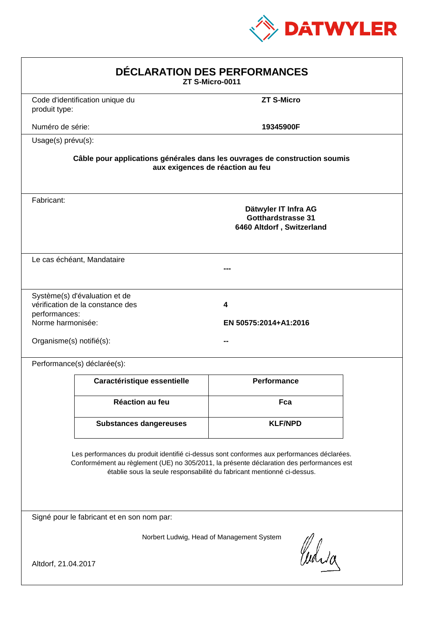

| DÉCLARATION DES PERFORMANCES<br>ZT S-Micro-0011                |                                                                   |                                                                                                                                                                                                                                                                  |  |
|----------------------------------------------------------------|-------------------------------------------------------------------|------------------------------------------------------------------------------------------------------------------------------------------------------------------------------------------------------------------------------------------------------------------|--|
| produit type:                                                  | Code d'identification unique du                                   | <b>ZT S-Micro</b>                                                                                                                                                                                                                                                |  |
| Numéro de série:                                               |                                                                   | 19345900F                                                                                                                                                                                                                                                        |  |
| Usage(s) prévu(s):                                             |                                                                   |                                                                                                                                                                                                                                                                  |  |
|                                                                |                                                                   | Câble pour applications générales dans les ouvrages de construction soumis<br>aux exigences de réaction au feu                                                                                                                                                   |  |
| Fabricant:                                                     |                                                                   | Dätwyler IT Infra AG<br><b>Gotthardstrasse 31</b><br>6460 Altdorf, Switzerland                                                                                                                                                                                   |  |
|                                                                | Le cas échéant, Mandataire                                        |                                                                                                                                                                                                                                                                  |  |
| performances:<br>Norme harmonisée:<br>Organisme(s) notifié(s): | Système(s) d'évaluation et de<br>vérification de la constance des | 4<br>EN 50575:2014+A1:2016                                                                                                                                                                                                                                       |  |
|                                                                | Performance(s) déclarée(s):                                       |                                                                                                                                                                                                                                                                  |  |
|                                                                | Caractéristique essentielle                                       | <b>Performance</b>                                                                                                                                                                                                                                               |  |
|                                                                | <b>Réaction au feu</b>                                            | Fca                                                                                                                                                                                                                                                              |  |
|                                                                | <b>Substances dangereuses</b>                                     | <b>KLF/NPD</b>                                                                                                                                                                                                                                                   |  |
|                                                                |                                                                   | Les performances du produit identifié ci-dessus sont conformes aux performances déclarées.<br>Conformément au règlement (UE) no 305/2011, la présente déclaration des performances est<br>établie sous la seule responsabilité du fabricant mentionné ci-dessus. |  |
|                                                                | Signé pour le fabricant et en son nom par:                        |                                                                                                                                                                                                                                                                  |  |
| Altdorf, 21.04.2017                                            |                                                                   | Norbert Ludwig, Head of Management System<br>Curia                                                                                                                                                                                                               |  |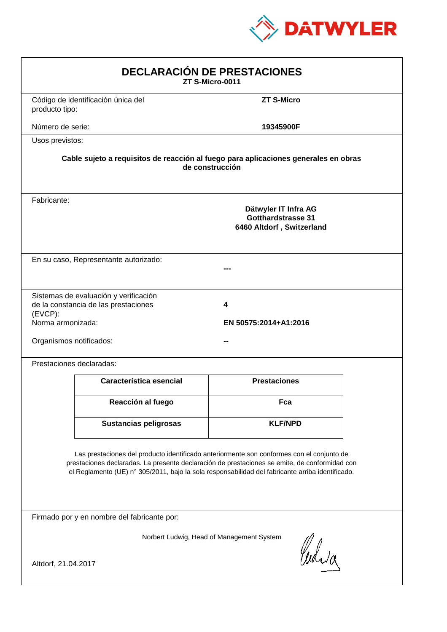

| <b>DECLARACIÓN DE PRESTACIONES</b><br>ZT S-Micro-0011                                                                                                                                                                                                                                                                                         |                                                                                                        |                            |  |  |  |
|-----------------------------------------------------------------------------------------------------------------------------------------------------------------------------------------------------------------------------------------------------------------------------------------------------------------------------------------------|--------------------------------------------------------------------------------------------------------|----------------------------|--|--|--|
| producto tipo:                                                                                                                                                                                                                                                                                                                                | Código de identificación única del                                                                     | <b>ZT S-Micro</b>          |  |  |  |
| Número de serie:                                                                                                                                                                                                                                                                                                                              |                                                                                                        | 19345900F                  |  |  |  |
|                                                                                                                                                                                                                                                                                                                                               | Usos previstos:                                                                                        |                            |  |  |  |
|                                                                                                                                                                                                                                                                                                                                               | Cable sujeto a requisitos de reacción al fuego para aplicaciones generales en obras<br>de construcción |                            |  |  |  |
| Fabricante:                                                                                                                                                                                                                                                                                                                                   | Dätwyler IT Infra AG<br><b>Gotthardstrasse 31</b><br>6460 Altdorf, Switzerland                         |                            |  |  |  |
|                                                                                                                                                                                                                                                                                                                                               | En su caso, Representante autorizado:                                                                  |                            |  |  |  |
| $(EVCP)$ :<br>Norma armonizada:<br>Organismos notificados:                                                                                                                                                                                                                                                                                    | Sistemas de evaluación y verificación<br>de la constancia de las prestaciones                          | 4<br>EN 50575:2014+A1:2016 |  |  |  |
|                                                                                                                                                                                                                                                                                                                                               | Prestaciones declaradas:                                                                               |                            |  |  |  |
|                                                                                                                                                                                                                                                                                                                                               | Característica esencial                                                                                | <b>Prestaciones</b>        |  |  |  |
|                                                                                                                                                                                                                                                                                                                                               | Reacción al fuego                                                                                      | Fca                        |  |  |  |
|                                                                                                                                                                                                                                                                                                                                               | <b>Sustancias peligrosas</b>                                                                           | <b>KLF/NPD</b>             |  |  |  |
| Las prestaciones del producto identificado anteriormente son conformes con el conjunto de<br>prestaciones declaradas. La presente declaración de prestaciones se emite, de conformidad con<br>el Reglamento (UE) nº 305/2011, bajo la sola responsabilidad del fabricante arriba identificado.<br>Firmado por y en nombre del fabricante por: |                                                                                                        |                            |  |  |  |
|                                                                                                                                                                                                                                                                                                                                               |                                                                                                        |                            |  |  |  |
| Norbert Ludwig, Head of Management System<br>Curia<br>Altdorf, 21.04.2017                                                                                                                                                                                                                                                                     |                                                                                                        |                            |  |  |  |